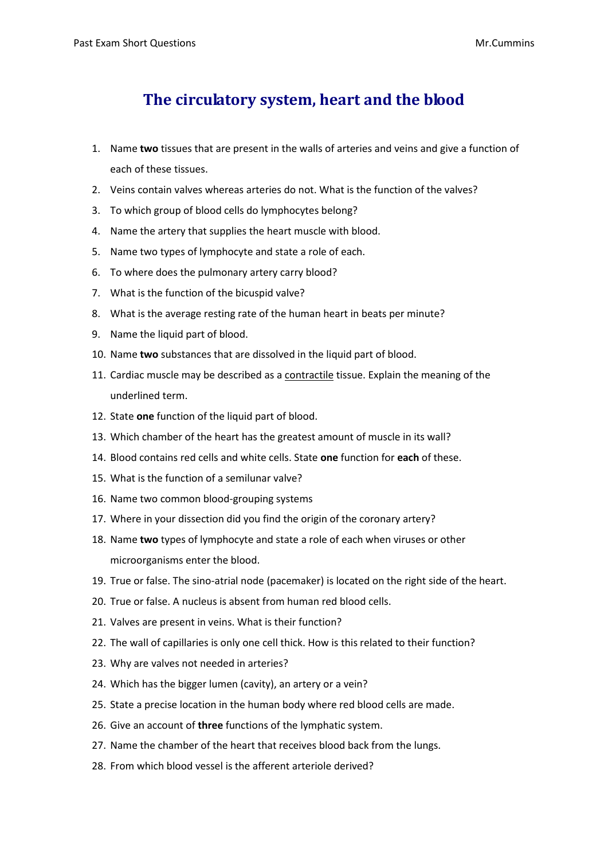## **The circulatory system, heart and the blood**

- 1. Name **two** tissues that are present in the walls of arteries and veins and give a function of each of these tissues.
- 2. Veins contain valves whereas arteries do not. What is the function of the valves?
- 3. To which group of blood cells do lymphocytes belong?
- 4. Name the artery that supplies the heart muscle with blood.
- 5. Name two types of lymphocyte and state a role of each.
- 6. To where does the pulmonary artery carry blood?
- 7. What is the function of the bicuspid valve?
- 8. What is the average resting rate of the human heart in beats per minute?
- 9. Name the liquid part of blood.
- 10. Name **two** substances that are dissolved in the liquid part of blood.
- 11. Cardiac muscle may be described as a contractile tissue. Explain the meaning of the underlined term.
- 12. State **one** function of the liquid part of blood.
- 13. Which chamber of the heart has the greatest amount of muscle in its wall?
- 14. Blood contains red cells and white cells. State **one** function for **each** of these.
- 15. What is the function of a semilunar valve?
- 16. Name two common blood-grouping systems
- 17. Where in your dissection did you find the origin of the coronary artery?
- 18. Name **two** types of lymphocyte and state a role of each when viruses or other microorganisms enter the blood.
- 19. True or false. The sino-atrial node (pacemaker) is located on the right side of the heart.
- 20. True or false. A nucleus is absent from human red blood cells.
- 21. Valves are present in veins. What is their function?
- 22. The wall of capillaries is only one cell thick. How is this related to their function?
- 23. Why are valves not needed in arteries?
- 24. Which has the bigger lumen (cavity), an artery or a vein?
- 25. State a precise location in the human body where red blood cells are made.
- 26. Give an account of **three** functions of the lymphatic system.
- 27. Name the chamber of the heart that receives blood back from the lungs.
- 28. From which blood vessel is the afferent arteriole derived?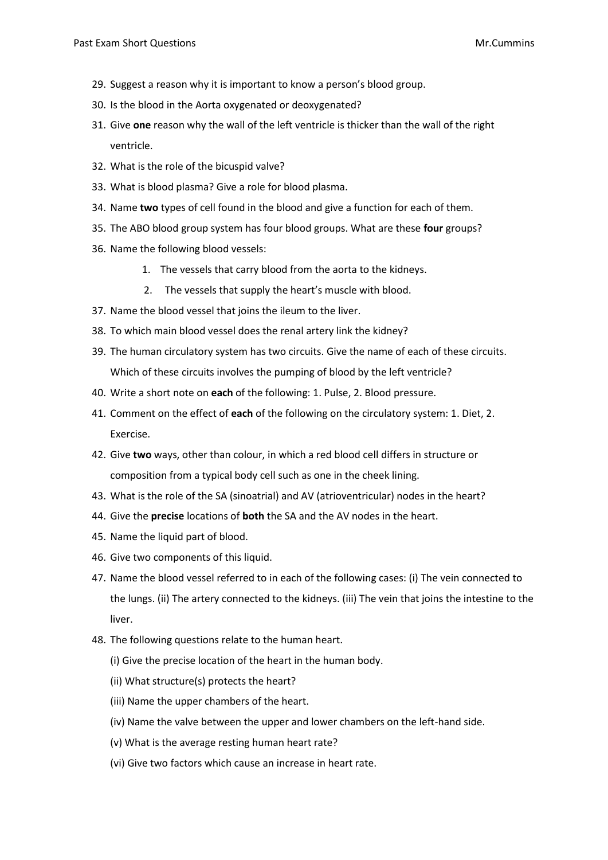- 29. Suggest a reason why it is important to know a person's blood group.
- 30. Is the blood in the Aorta oxygenated or deoxygenated?
- 31. Give **one** reason why the wall of the left ventricle is thicker than the wall of the right ventricle.
- 32. What is the role of the bicuspid valve?
- 33. What is blood plasma? Give a role for blood plasma.
- 34. Name **two** types of cell found in the blood and give a function for each of them.
- 35. The ABO blood group system has four blood groups. What are these **four** groups?
- 36. Name the following blood vessels:
	- 1. The vessels that carry blood from the aorta to the kidneys.
	- 2. The vessels that supply the heart's muscle with blood.
- 37. Name the blood vessel that joins the ileum to the liver.
- 38. To which main blood vessel does the renal artery link the kidney?
- 39. The human circulatory system has two circuits. Give the name of each of these circuits. Which of these circuits involves the pumping of blood by the left ventricle?
- 40. Write a short note on **each** of the following: 1. Pulse, 2. Blood pressure.
- 41. Comment on the effect of **each** of the following on the circulatory system: 1. Diet, 2. Exercise.
- 42. Give **two** ways, other than colour, in which a red blood cell differs in structure or composition from a typical body cell such as one in the cheek lining.
- 43. What is the role of the SA (sinoatrial) and AV (atrioventricular) nodes in the heart?
- 44. Give the **precise** locations of **both** the SA and the AV nodes in the heart.
- 45. Name the liquid part of blood.
- 46. Give two components of this liquid.
- 47. Name the blood vessel referred to in each of the following cases: (i) The vein connected to the lungs. (ii) The artery connected to the kidneys. (iii) The vein that joins the intestine to the liver.
- 48. The following questions relate to the human heart.
	- (i) Give the precise location of the heart in the human body.
	- (ii) What structure(s) protects the heart?
	- (iii) Name the upper chambers of the heart.
	- (iv) Name the valve between the upper and lower chambers on the left-hand side.
	- (v) What is the average resting human heart rate?
	- (vi) Give two factors which cause an increase in heart rate.